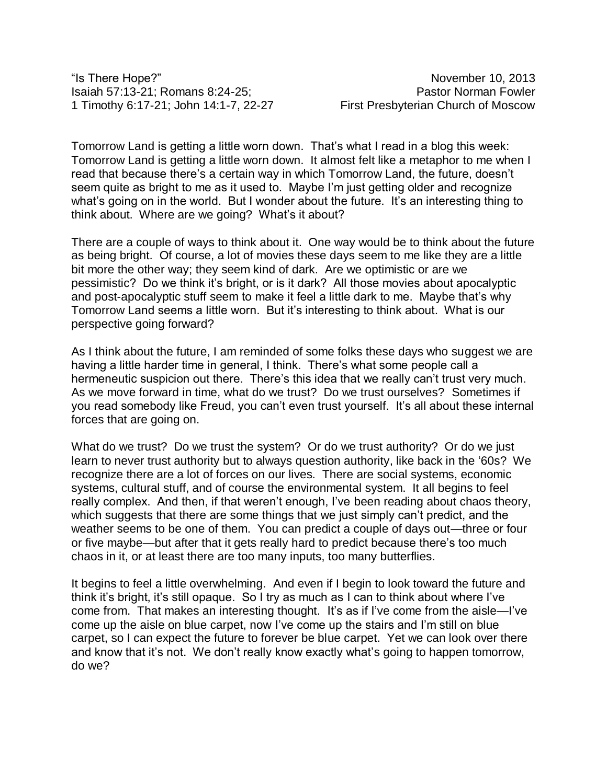"Is There Hope?" November 10, 2013 Isaiah 57:13-21; Romans 8:24-25; Pastor Norman Fowler 1 Timothy 6:17-21; John 14:1-7, 22-27 First Presbyterian Church of Moscow

Tomorrow Land is getting a little worn down. That's what I read in a blog this week: Tomorrow Land is getting a little worn down. It almost felt like a metaphor to me when I read that because there's a certain way in which Tomorrow Land, the future, doesn't seem quite as bright to me as it used to. Maybe I'm just getting older and recognize what's going on in the world. But I wonder about the future. It's an interesting thing to think about. Where are we going? What's it about?

There are a couple of ways to think about it. One way would be to think about the future as being bright. Of course, a lot of movies these days seem to me like they are a little bit more the other way; they seem kind of dark. Are we optimistic or are we pessimistic? Do we think it's bright, or is it dark? All those movies about apocalyptic and post-apocalyptic stuff seem to make it feel a little dark to me. Maybe that's why Tomorrow Land seems a little worn. But it's interesting to think about. What is our perspective going forward?

As I think about the future, I am reminded of some folks these days who suggest we are having a little harder time in general, I think. There's what some people call a hermeneutic suspicion out there. There's this idea that we really can't trust very much. As we move forward in time, what do we trust? Do we trust ourselves? Sometimes if you read somebody like Freud, you can't even trust yourself. It's all about these internal forces that are going on.

What do we trust? Do we trust the system? Or do we trust authority? Or do we just learn to never trust authority but to always question authority, like back in the '60s? We recognize there are a lot of forces on our lives. There are social systems, economic systems, cultural stuff, and of course the environmental system. It all begins to feel really complex. And then, if that weren't enough, I've been reading about chaos theory, which suggests that there are some things that we just simply can't predict, and the weather seems to be one of them. You can predict a couple of days out—three or four or five maybe—but after that it gets really hard to predict because there's too much chaos in it, or at least there are too many inputs, too many butterflies.

It begins to feel a little overwhelming. And even if I begin to look toward the future and think it's bright, it's still opaque. So I try as much as I can to think about where I've come from. That makes an interesting thought. It's as if I've come from the aisle—I've come up the aisle on blue carpet, now I've come up the stairs and I'm still on blue carpet, so I can expect the future to forever be blue carpet. Yet we can look over there and know that it's not. We don't really know exactly what's going to happen tomorrow, do we?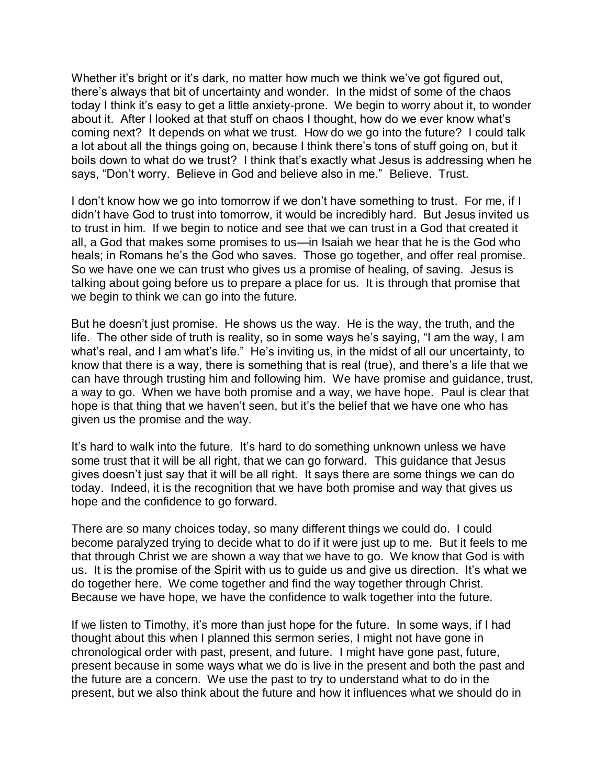Whether it's bright or it's dark, no matter how much we think we've got figured out, there's always that bit of uncertainty and wonder. In the midst of some of the chaos today I think it's easy to get a little anxiety-prone. We begin to worry about it, to wonder about it. After I looked at that stuff on chaos I thought, how do we ever know what's coming next? It depends on what we trust. How do we go into the future? I could talk a lot about all the things going on, because I think there's tons of stuff going on, but it boils down to what do we trust? I think that's exactly what Jesus is addressing when he says, "Don't worry. Believe in God and believe also in me." Believe. Trust.

I don't know how we go into tomorrow if we don't have something to trust. For me, if I didn't have God to trust into tomorrow, it would be incredibly hard. But Jesus invited us to trust in him. If we begin to notice and see that we can trust in a God that created it all, a God that makes some promises to us—in Isaiah we hear that he is the God who heals; in Romans he's the God who saves. Those go together, and offer real promise. So we have one we can trust who gives us a promise of healing, of saving. Jesus is talking about going before us to prepare a place for us. It is through that promise that we begin to think we can go into the future.

But he doesn't just promise. He shows us the way. He is the way, the truth, and the life. The other side of truth is reality, so in some ways he's saying, "I am the way, I am what's real, and I am what's life." He's inviting us, in the midst of all our uncertainty, to know that there is a way, there is something that is real (true), and there's a life that we can have through trusting him and following him. We have promise and guidance, trust, a way to go. When we have both promise and a way, we have hope. Paul is clear that hope is that thing that we haven't seen, but it's the belief that we have one who has given us the promise and the way.

It's hard to walk into the future. It's hard to do something unknown unless we have some trust that it will be all right, that we can go forward. This guidance that Jesus gives doesn't just say that it will be all right. It says there are some things we can do today. Indeed, it is the recognition that we have both promise and way that gives us hope and the confidence to go forward.

There are so many choices today, so many different things we could do. I could become paralyzed trying to decide what to do if it were just up to me. But it feels to me that through Christ we are shown a way that we have to go. We know that God is with us. It is the promise of the Spirit with us to guide us and give us direction. It's what we do together here. We come together and find the way together through Christ. Because we have hope, we have the confidence to walk together into the future.

If we listen to Timothy, it's more than just hope for the future. In some ways, if I had thought about this when I planned this sermon series, I might not have gone in chronological order with past, present, and future. I might have gone past, future, present because in some ways what we do is live in the present and both the past and the future are a concern. We use the past to try to understand what to do in the present, but we also think about the future and how it influences what we should do in